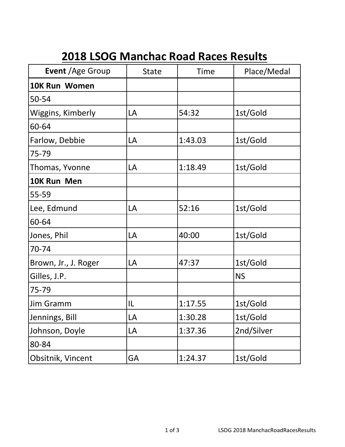## **2018 LSOG Manchac Road Races Results**

| Event / Age Group    | <b>State</b> | Time    | Place/Medal |
|----------------------|--------------|---------|-------------|
| <b>10K Run Women</b> |              |         |             |
| 50-54                |              |         |             |
| Wiggins, Kimberly    | LA           | 54:32   | 1st/Gold    |
| 60-64                |              |         |             |
| Farlow, Debbie       | LA           | 1:43.03 | 1st/Gold    |
| 75-79                |              |         |             |
| Thomas, Yvonne       | LA           | 1:18.49 | 1st/Gold    |
| 10K Run Men          |              |         |             |
| 55-59                |              |         |             |
| Lee, Edmund          | LA           | 52:16   | 1st/Gold    |
| 60-64                |              |         |             |
| Jones, Phil          | LA           | 40:00   | 1st/Gold    |
| 70-74                |              |         |             |
| Brown, Jr., J. Roger | LA           | 47:37   | 1st/Gold    |
| Gilles, J.P.         |              |         | <b>NS</b>   |
| 75-79                |              |         |             |
| Jim Gramm            | IL           | 1:17.55 | 1st/Gold    |
| Jennings, Bill       | LA           | 1:30.28 | 1st/Gold    |
| Johnson, Doyle       | LA           | 1:37.36 | 2nd/Silver  |
| 80-84                |              |         |             |
| Obsitnik, Vincent    | GA           | 1:24.37 | 1st/Gold    |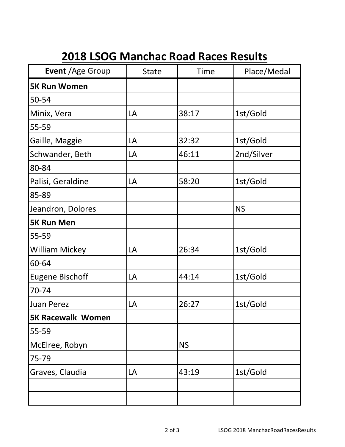## **2018 LSOG Manchac Road Races Results**

| Event / Age Group        | <b>State</b> | <b>Time</b> | Place/Medal |
|--------------------------|--------------|-------------|-------------|
| <b>5K Run Women</b>      |              |             |             |
| 50-54                    |              |             |             |
| Minix, Vera              | LA           | 38:17       | 1st/Gold    |
| 55-59                    |              |             |             |
| Gaille, Maggie           | LA           | 32:32       | 1st/Gold    |
| Schwander, Beth          | LA           | 46:11       | 2nd/Silver  |
| 80-84                    |              |             |             |
| Palisi, Geraldine        | LA           | 58:20       | 1st/Gold    |
| 85-89                    |              |             |             |
| Jeandron, Dolores        |              |             | <b>NS</b>   |
| <b>5K Run Men</b>        |              |             |             |
| 55-59                    |              |             |             |
| <b>William Mickey</b>    | LA           | 26:34       | 1st/Gold    |
| 60-64                    |              |             |             |
| <b>Eugene Bischoff</b>   | LA           | 44:14       | 1st/Gold    |
| 70-74                    |              |             |             |
| <b>Juan Perez</b>        | LA           | 26:27       | 1st/Gold    |
| <b>5K Racewalk Women</b> |              |             |             |
| 55-59                    |              |             |             |
| McElree, Robyn           |              | <b>NS</b>   |             |
| 75-79                    |              |             |             |
| Graves, Claudia          | LA           | 43:19       | 1st/Gold    |
|                          |              |             |             |
|                          |              |             |             |